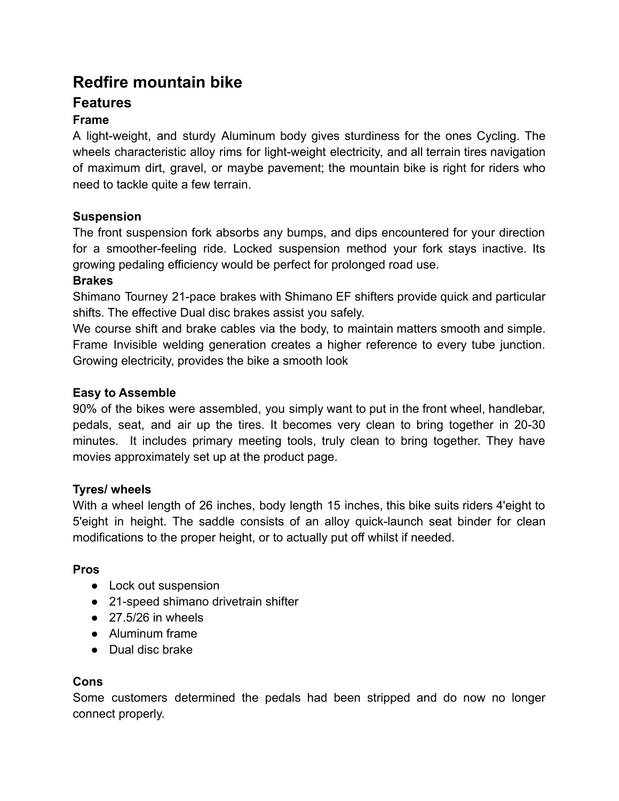# **Redfire mountain bike**

# **Features**

# **Frame**

A light-weight, and sturdy Aluminum body gives sturdiness for the ones Cycling. The wheels characteristic alloy rims for light-weight electricity, and all terrain tires navigation of maximum dirt, gravel, or maybe pavement; the mountain bike is right for riders who need to tackle quite a few terrain.

# **Suspension**

The front suspension fork absorbs any bumps, and dips encountered for your direction for a smoother-feeling ride. Locked suspension method your fork stays inactive. Its growing pedaling efficiency would be perfect for prolonged road use.

# **Brakes**

Shimano Tourney 21-pace brakes with Shimano EF shifters provide quick and particular shifts. The effective Dual disc brakes assist you safely.

We course shift and brake cables via the body, to maintain matters smooth and simple. Frame Invisible welding generation creates a higher reference to every tube junction. Growing electricity, provides the bike a smooth look

# **Easy to Assemble**

90% of the bikes were assembled, you simply want to put in the front wheel, handlebar, pedals, seat, and air up the tires. It becomes very clean to bring together in 20-30 minutes. It includes primary meeting tools, truly clean to bring together. They have movies approximately set up at the product page.

# **Tyres/ wheels**

With a wheel length of 26 inches, body length 15 inches, this bike suits riders 4'eight to 5'eight in height. The saddle consists of an alloy quick-launch seat binder for clean modifications to the proper height, or to actually put off whilst if needed.

# **Pros**

- Lock out suspension
- 21-speed shimano drivetrain shifter
- $\bullet$  27.5/26 in wheels
- Aluminum frame
- Dual disc brake

# **Cons**

Some customers determined the pedals had been stripped and do now no longer connect properly.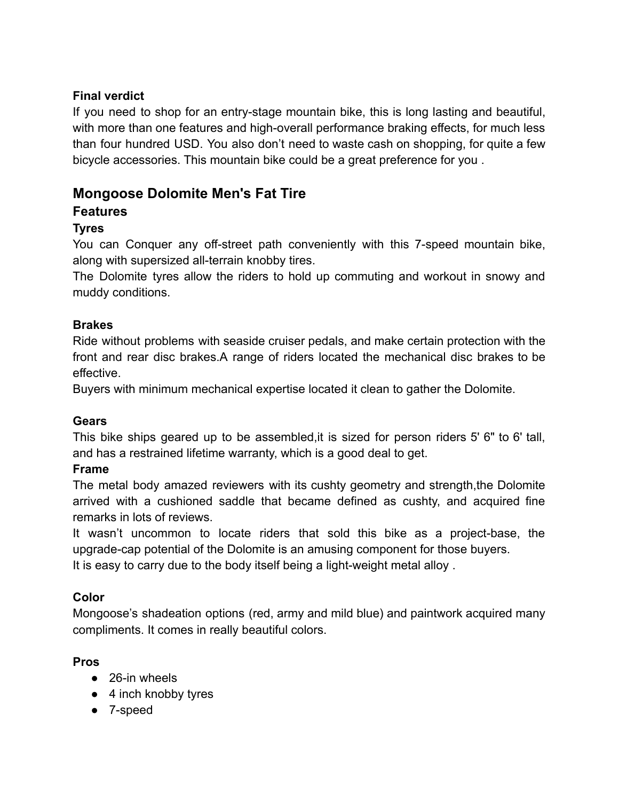# **Final verdict**

If you need to shop for an entry-stage mountain bike, this is long lasting and beautiful, with more than one features and high-overall performance braking effects, for much less than four hundred USD. You also don't need to waste cash on shopping, for quite a few bicycle accessories. This mountain bike could be a great preference for you .

# **Mongoose Dolomite Men's Fat Tire**

# **Features**

# **Tyres**

You can Conquer any off-street path conveniently with this 7-speed mountain bike, along with supersized all-terrain knobby tires.

The Dolomite tyres allow the riders to hold up commuting and workout in snowy and muddy conditions.

# **Brakes**

Ride without problems with seaside cruiser pedals, and make certain protection with the front and rear disc brakes.A range of riders located the mechanical disc brakes to be effective.

Buyers with minimum mechanical expertise located it clean to gather the Dolomite.

# **Gears**

This bike ships geared up to be assembled,it is sized for person riders 5' 6" to 6' tall, and has a restrained lifetime warranty, which is a good deal to get.

#### **Frame**

The metal body amazed reviewers with its cushty geometry and strength,the Dolomite arrived with a cushioned saddle that became defined as cushty, and acquired fine remarks in lots of reviews.

It wasn't uncommon to locate riders that sold this bike as a project-base, the upgrade-cap potential of the Dolomite is an amusing component for those buyers. It is easy to carry due to the body itself being a light-weight metal alloy .

# **Color**

Mongoose's shadeation options (red, army and mild blue) and paintwork acquired many compliments. It comes in really beautiful colors.

# **Pros**

- 26-in wheels
- 4 inch knobby tyres
- 7-speed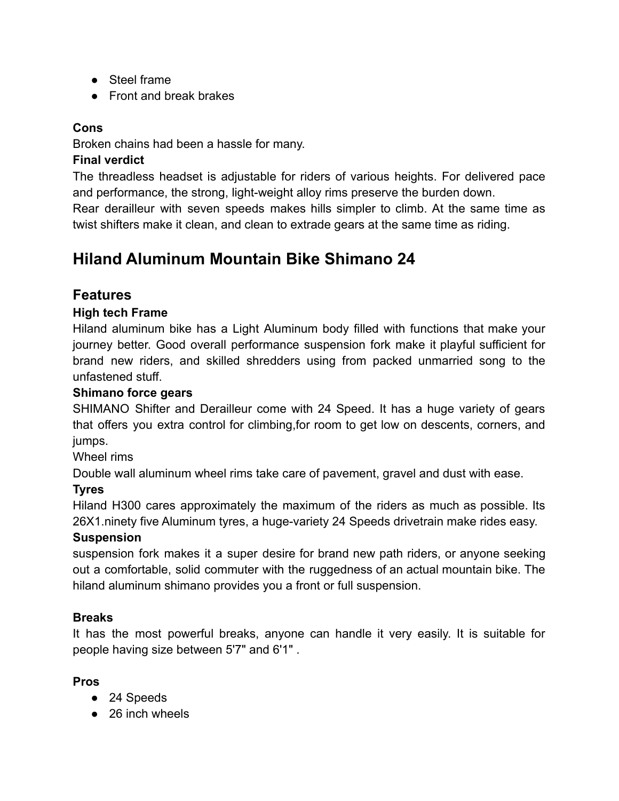- Steel frame
- Front and break brakes

# **Cons**

Broken chains had been a hassle for many.

# **Final verdict**

The threadless headset is adjustable for riders of various heights. For delivered pace and performance, the strong, light-weight alloy rims preserve the burden down.

Rear derailleur with seven speeds makes hills simpler to climb. At the same time as twist shifters make it clean, and clean to extrade gears at the same time as riding.

# **Hiland Aluminum Mountain Bike Shimano 24**

# **Features**

# **High tech Frame**

Hiland aluminum bike has a Light Aluminum body filled with functions that make your journey better. Good overall performance suspension fork make it playful sufficient for brand new riders, and skilled shredders using from packed unmarried song to the unfastened stuff.

# **Shimano force gears**

SHIMANO Shifter and Derailleur come with 24 Speed. It has a huge variety of gears that offers you extra control for climbing,for room to get low on descents, corners, and jumps.

Wheel rims

Double wall aluminum wheel rims take care of pavement, gravel and dust with ease.

# **Tyres**

Hiland H300 cares approximately the maximum of the riders as much as possible. Its 26X1.ninety five Aluminum tyres, a huge-variety 24 Speeds drivetrain make rides easy.

# **Suspension**

suspension fork makes it a super desire for brand new path riders, or anyone seeking out a comfortable, solid commuter with the ruggedness of an actual mountain bike. The hiland aluminum shimano provides you a front or full suspension.

# **Breaks**

It has the most powerful breaks, anyone can handle it very easily. It is suitable for people having size between 5'7" and 6'1" .

# **Pros**

- 24 Speeds
- 26 inch wheels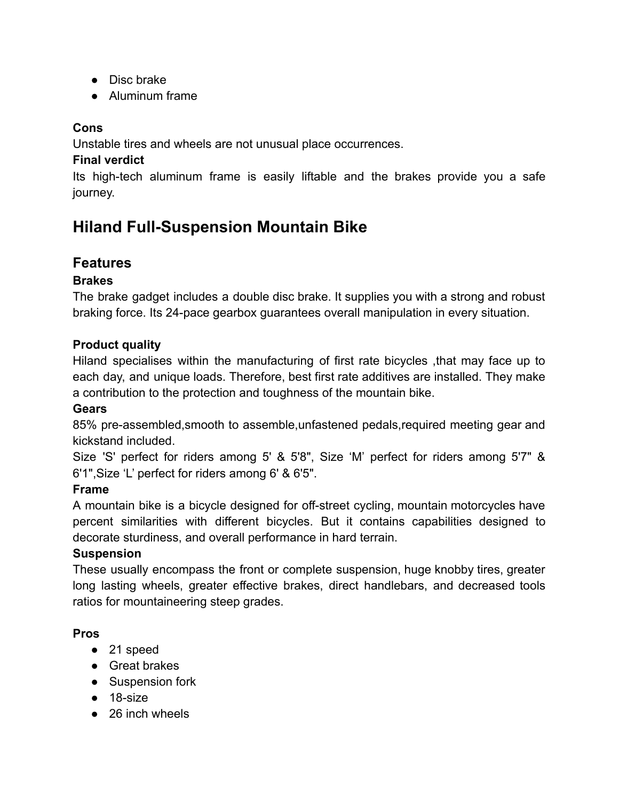- Disc brake
- Aluminum frame

# **Cons**

Unstable tires and wheels are not unusual place occurrences.

# **Final verdict**

Its high-tech aluminum frame is easily liftable and the brakes provide you a safe journey.

# **Hiland Full-Suspension Mountain Bike**

# **Features**

# **Brakes**

The brake gadget includes a double disc brake. It supplies you with a strong and robust braking force. Its 24-pace gearbox guarantees overall manipulation in every situation.

# **Product quality**

Hiland specialises within the manufacturing of first rate bicycles ,that may face up to each day, and unique loads. Therefore, best first rate additives are installed. They make a contribution to the protection and toughness of the mountain bike.

# **Gears**

85% pre-assembled,smooth to assemble,unfastened pedals,required meeting gear and kickstand included.

Size 'S' perfect for riders among 5' & 5'8", Size 'M' perfect for riders among 5'7" & 6'1",Size 'L' perfect for riders among 6' & 6'5".

# **Frame**

A mountain bike is a bicycle designed for off-street cycling, mountain motorcycles have percent similarities with different bicycles. But it contains capabilities designed to decorate sturdiness, and overall performance in hard terrain.

# **Suspension**

These usually encompass the front or complete suspension, huge knobby tires, greater long lasting wheels, greater effective brakes, direct handlebars, and decreased tools ratios for mountaineering steep grades.

# **Pros**

- 21 speed
- Great brakes
- Suspension fork
- 18-size
- 26 inch wheels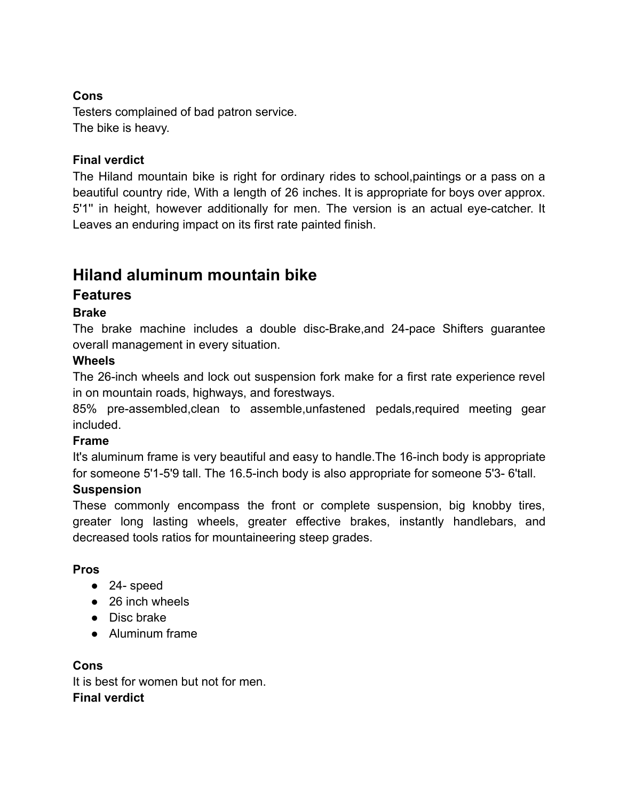# **Cons**

Testers complained of bad patron service. The bike is heavy.

# **Final verdict**

The Hiland mountain bike is right for ordinary rides to school,paintings or a pass on a beautiful country ride, With a length of 26 inches. It is appropriate for boys over approx. 5'1'' in height, however additionally for men. The version is an actual eye-catcher. It Leaves an enduring impact on its first rate painted finish.

# **Hiland aluminum mountain bike**

# **Features**

# **Brake**

The brake machine includes a double disc-Brake,and 24-pace Shifters guarantee overall management in every situation.

# **Wheels**

The 26-inch wheels and lock out suspension fork make for a first rate experience revel in on mountain roads, highways, and forestways.

85% pre-assembled,clean to assemble,unfastened pedals,required meeting gear included.

# **Frame**

It's aluminum frame is very beautiful and easy to handle.The 16-inch body is appropriate for someone 5'1-5'9 tall. The 16.5-inch body is also appropriate for someone 5'3- 6'tall.

# **Suspension**

These commonly encompass the front or complete suspension, big knobby tires, greater long lasting wheels, greater effective brakes, instantly handlebars, and decreased tools ratios for mountaineering steep grades.

# **Pros**

- 24- speed
- 26 inch wheels
- Disc brake
- Aluminum frame

# **Cons**

It is best for women but not for men **Final verdict**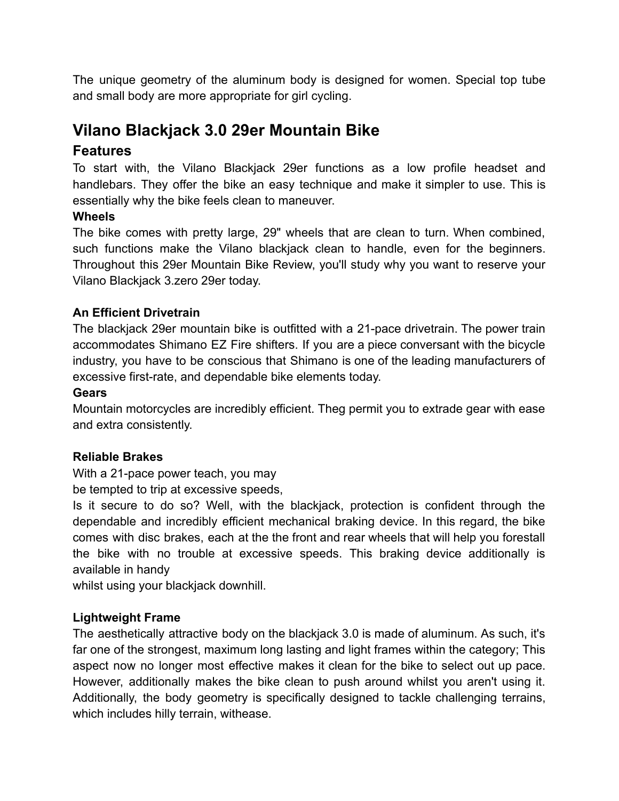The unique geometry of the aluminum body is designed for women. Special top tube and small body are more appropriate for girl cycling.

# **Vilano Blackjack 3.0 29er Mountain Bike**

# **Features**

To start with, the Vilano Blackjack 29er functions as a low profile headset and handlebars. They offer the bike an easy technique and make it simpler to use. This is essentially why the bike feels clean to maneuver.

# **Wheels**

The bike comes with pretty large, 29" wheels that are clean to turn. When combined, such functions make the Vilano blackjack clean to handle, even for the beginners. Throughout this 29er Mountain Bike Review, you'll study why you want to reserve your Vilano Blackjack 3.zero 29er today.

# **An Efficient Drivetrain**

The blackjack 29er mountain bike is outfitted with a 21-pace drivetrain. The power train accommodates Shimano EZ Fire shifters. If you are a piece conversant with the bicycle industry, you have to be conscious that Shimano is one of the leading manufacturers of excessive first-rate, and dependable bike elements today.

# **Gears**

Mountain motorcycles are incredibly efficient. Theg permit you to extrade gear with ease and extra consistently.

# **Reliable Brakes**

With a 21-pace power teach, you may

be tempted to trip at excessive speeds,

Is it secure to do so? Well, with the blackjack, protection is confident through the dependable and incredibly efficient mechanical braking device. In this regard, the bike comes with disc brakes, each at the the front and rear wheels that will help you forestall the bike with no trouble at excessive speeds. This braking device additionally is available in handy

whilst using your blackjack downhill.

# **Lightweight Frame**

The aesthetically attractive body on the blackjack 3.0 is made of aluminum. As such, it's far one of the strongest, maximum long lasting and light frames within the category; This aspect now no longer most effective makes it clean for the bike to select out up pace. However, additionally makes the bike clean to push around whilst you aren't using it. Additionally, the body geometry is specifically designed to tackle challenging terrains, which includes hilly terrain, withease.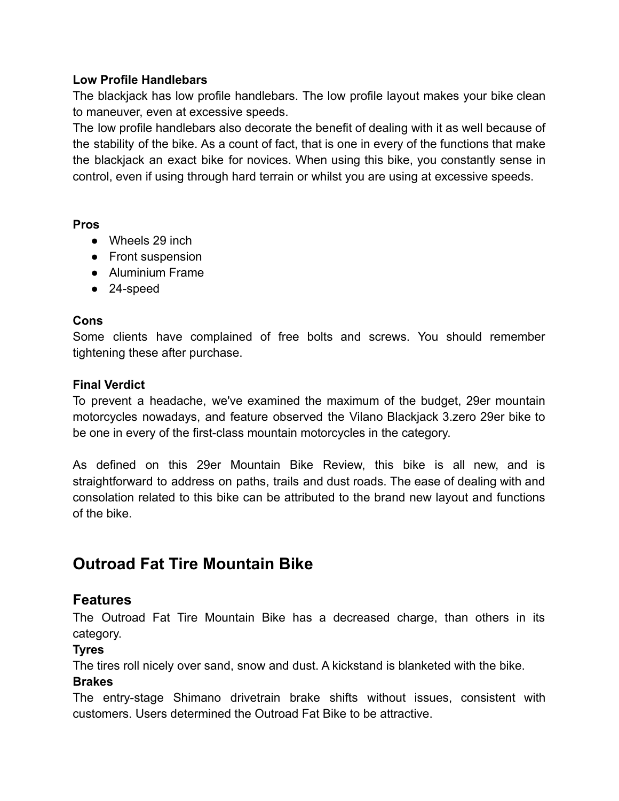#### **Low Profile Handlebars**

The blackjack has low profile handlebars. The low profile layout makes your bike clean to maneuver, even at excessive speeds.

The low profile handlebars also decorate the benefit of dealing with it as well because of the stability of the bike. As a count of fact, that is one in every of the functions that make the blackjack an exact bike for novices. When using this bike, you constantly sense in control, even if using through hard terrain or whilst you are using at excessive speeds.

#### **Pros**

- Wheels 29 inch
- Front suspension
- Aluminium Frame
- 24-speed

#### **Cons**

Some clients have complained of free bolts and screws. You should remember tightening these after purchase.

#### **Final Verdict**

To prevent a headache, we've examined the maximum of the budget, 29er mountain motorcycles nowadays, and feature observed the Vilano Blackjack 3.zero 29er bike to be one in every of the first-class mountain motorcycles in the category.

As defined on this 29er Mountain Bike Review, this bike is all new, and is straightforward to address on paths, trails and dust roads. The ease of dealing with and consolation related to this bike can be attributed to the brand new layout and functions of the bike.

# **Outroad Fat Tire Mountain Bike**

# **Features**

The Outroad Fat Tire Mountain Bike has a decreased charge, than others in its category.

# **Tyres**

The tires roll nicely over sand, snow and dust. A kickstand is blanketed with the bike.

# **Brakes**

The entry-stage Shimano drivetrain brake shifts without issues, consistent with customers. Users determined the Outroad Fat Bike to be attractive.